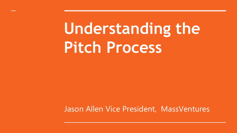# **Understanding the Pitch Process**

Jason Allen Vice President, MassVentures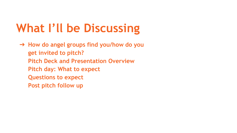## **What I'll be Discussing**

➔ **How do angel groups find you/how do you get invited to pitch? Pitch Deck and Presentation Overview Pitch day: What to expect Questions to expect Post pitch follow up**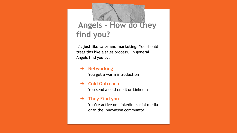## **Angels - How do they find you?**

**It's just like sales and marketing.** You should treat this like a sales process. In general, Angels find you by:

#### ➔ **Networking**

You get a warm introduction

#### ➔ **Cold Outreach**

You send a cold email or LinkedIn

#### ➔ **They Find you**

You're active on LinkedIn, social media or in the innovation community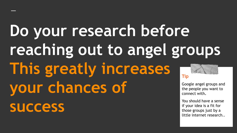### **Do your research before reaching out to angel groups This greatly increases your chances of success Tip** Google angel groups and the people you want to connect with**.** You should have a sense

if your idea is a fit for those groups just by a little internet research..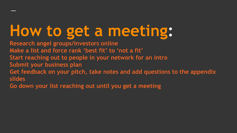# **How to get a meeting:**

**Research angel groups/investors online Make a list and force rank 'best fit' to 'not a fit' Start reaching out to people in your network for an intro Submit your business plan Get feedback on your pitch, take notes and add questions to the appendix slides**

**Go down your list reaching out until you get a meeting**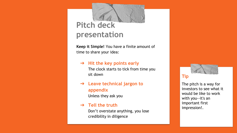### **Pitch deck presentation**

**Keep it Simple!** You have a finite amount of time to share your idea:

- ➔ **Hit the key points early** The clock starts to tick from time you sit down
- ➔ **Leave technical jargon to appendix**  Unless they ask you

#### ➔ **Tell the truth**

Don't overstate anything, you lose credibility in diligence

### **Tip**

The pitch is a way for investors to see what it would be like to work with you--it's an important first impression!.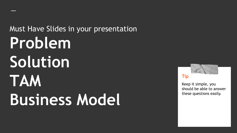Must Have Slides in your presentation **Problem Solution TAM Business Model**



#### **Tip**

Keep it simple, you should be able to answer these questions easily.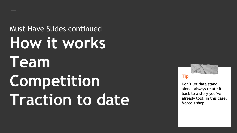Must Have Slides continued **How it works Team Competition Traction to date**



#### **Tip**

Don't let data stand alone. Always relate it back to a story you've already told, in this case, Marco's shop.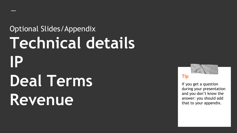# Optional Slides/Appendix **Technical details IP Deal Terms Revenue**



If you get a question during your presentation and you don't know the answer: you should add that to your appendix.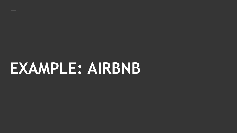# **EXAMPLE: AIRBNB**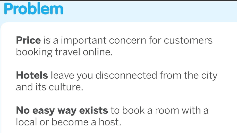

## **Price** is a important concern for customers booking travel online.

**Hotels** leave you disconnected from the city and its culture.

**No easy way exists** to book a room with a local or become a host.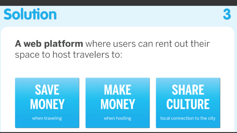



### A web platform where users can rent out their space to host travelers to:

## **SAVE MONEY**

when traveling

**MAKE MONEY** 

when hosting

## **SHARE CULTURE**

local connection to the city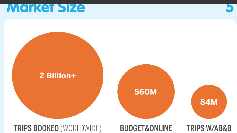## **Market Size**



### **TRIPS BOOKED (WORLDWIDE)**

### **BUDGET&ONLINE**

**TRIPS W/AB&B**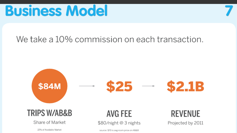

### We take a 10% commission on each transaction.

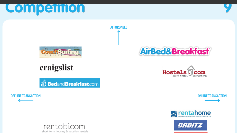## **Competition**







### craigslist

BedandBreakfast.com

**OFFLINE TRANSACTION** 











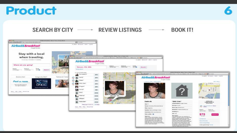



SEARCH BY CITY  $\longrightarrow$  REVIEW LISTINGS **BOOK IT!**  $\begin{picture}(20,20) \put(0,0){\dashbox{0.5}(20,0){ }} \put(15,0){\dashbox{0.5}(20,0){ }} \put(15,0){\dashbox{0.5}(20,0){ }} \put(15,0){\dashbox{0.5}(20,0){ }} \put(15,0){\dashbox{0.5}(20,0){ }} \put(15,0){\dashbox{0.5}(20,0){ }} \put(15,0){\dashbox{0.5}(20,0){ }} \put(15,0){\dashbox{0.5}(20,0){ }} \put(15,0){\dashbox{0.5}(20,0){ }} \put(15,0){\dashbox{$ 

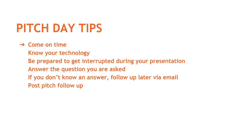## **PITCH DAY TIPS**

### ➔ **Come on time**

**Know your technology Be prepared to get interrupted during your presentation Answer the question you are asked If you don't know an answer, follow up later via email Post pitch follow up**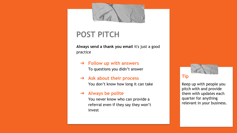

### **POST PITCH**

**Always send a thank you email** it's just a good practice

- ➔ **Follow up with answers** To questions you didn't answer
- ➔ **Ask about their process** You don't know how long it can take

#### ➔ **Always be polite**

You never know who can provide a referral even if they say they won't invest



Keep up with people you pitch with and provide them with updates each quarter for anything relevant in your business.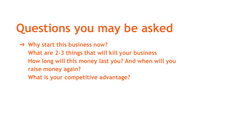## **Questions you may be asked**

➔ **Why start this business now? What are 2-3 things that will kill your business How long will this money last you? And when will you raise money again? What is your competitive advantage?**